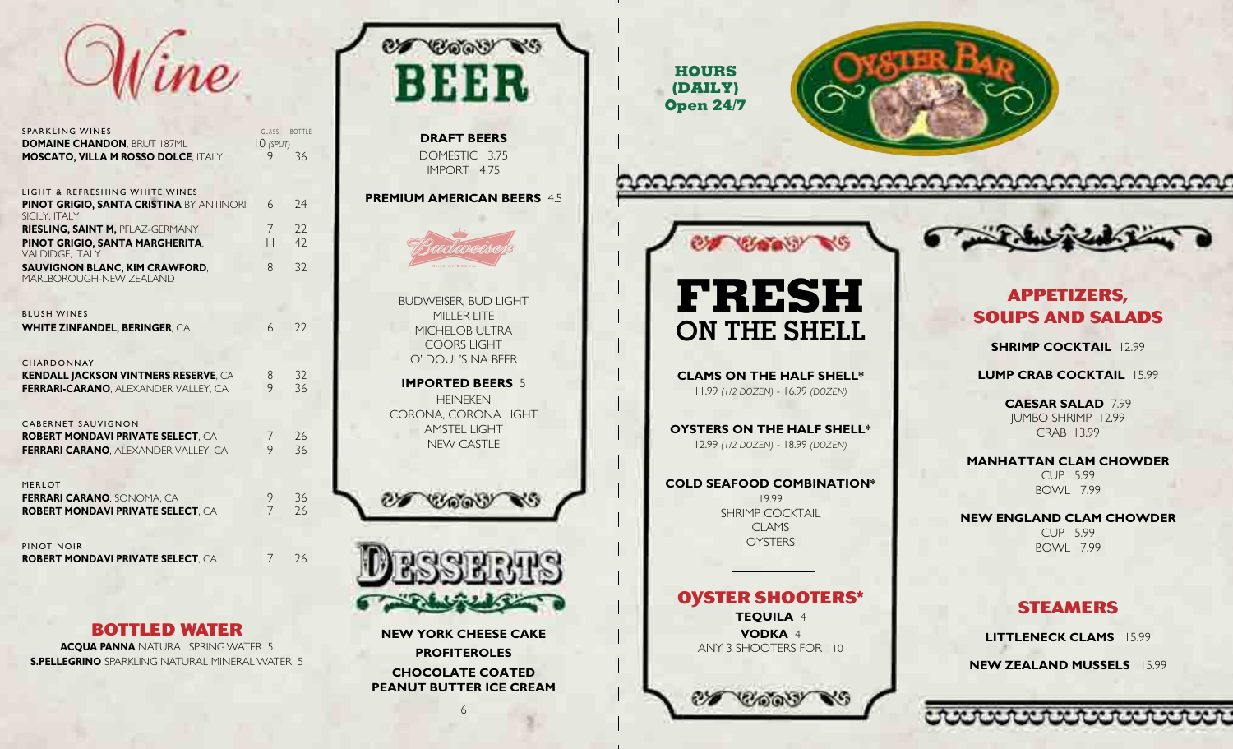

e

7 26

| <b>SPARKLING WINES</b>                                                           | GLASS                | <b>BOTTI</b> |
|----------------------------------------------------------------------------------|----------------------|--------------|
| <b>DOMAINE CHANDON, BRUT 187ML</b><br><b>MOSCATO, VILLA M ROSSO DOLCE, ITALY</b> | $10$ (SPLIT)<br>9    | 36           |
|                                                                                  |                      |              |
| LIGHT & REFRESHING WHITE WINES                                                   |                      |              |
| <b>PINOT GRIGIO, SANTA CRISTINA BY ANTINORI,</b>                                 | 6                    | 74           |
| SICILY, ITALY                                                                    |                      |              |
| <b>RIESLING, SAINT M, PFLAZ-GERMANY</b>                                          | 7<br>$\vert \ \vert$ | 22<br>42     |
| PINOT GRIGIO, SANTA MARGHERITA,<br><b>VALDIDGE, ITALY</b>                        |                      |              |
| <b>SAUVIGNON BLANC, KIM CRAWFORD,</b><br>MARLBOROUGH-NEW ZEALAND                 | 8                    | 32           |
| <b>BLUSH WINES</b>                                                               |                      |              |
| <b>WHITE ZINFANDEL, BERINGER, CA</b>                                             | 6                    | 22           |
|                                                                                  |                      |              |
| <b>CHARDONNAY</b>                                                                |                      |              |
| <b>KENDALL JACKSON VINTNERS RESERVE, CA</b>                                      | 8                    | 32           |
| <b>FERRARI-CARANO. ALEXANDER VALLEY. CA</b>                                      | 9                    | 36           |
|                                                                                  |                      |              |
| <b>CABERNET SAUVIGNON</b><br><b>ROBERT MONDAVI PRIVATE SELECT. CA</b>            | 7                    | 26           |
| <b>FERRARI CARANO, ALEXANDER VALLEY, CA</b>                                      | 9                    | 36           |
|                                                                                  |                      |              |
| <b>MERLOT</b>                                                                    |                      |              |
| FERRARI CARANO, SONOMA, CA                                                       | 9                    | 36           |
| <b>ROBERT MONDAVI PRIVATE SELECT. CA</b>                                         | $\overline{7}$       | 26           |
|                                                                                  |                      |              |
| PINOT NOIR                                                                       |                      |              |

**bottled water**

**ROBERT MONDAVI PRIVATE SELECT**, C

**d**

**ACQUA PANNA** NATURAL SPRING WATER 5 l **S.Pellegrino** Spark i ng Natura M i nera Water 5 l l l



**Profiteroles Chocolate Coate d Peanut Butter Ice Cream**

6

**HOURS (DAILY) Open 24/7**



ೲೲೲೲೲೲೲೲೲೲೲೲೲೲೲೲೲೲೲೲೲೲ

# **COOP NS**

11.99 *(1/2 dozen)* - 16.99 *(dozen)*

12.99 *(1/2 dozen)* - 18.99 *(dozen)*

Clams Oysters

**Oyster Shooters\* Tequila**  4 **VODKA** 4 Any 3 Shooters for 10

**d** 19.99 Shrimp Cocktai

**d**



#### **Appetizers, SOUPS AND SALADS a a**

**Shrim Cocktail** 12.99 **p**

**LUMP CRAB COCKTAIL 15.99 p**  $\overline{\phantom{a}}$ 

> **Caesar Sala d** 7.99 Jum bo Shrimp 12.99 Cra b 13.99

**Manhattan Clam Chow der** Cup 5.99 Bow l 7.99

**New Englan Clam Chow der d** Cup 5.99 Bow l 7.99

## **Ste amers**

**Littleneck Clams** 15.99 **New Zealan Mussels** 15.99 **d**

ovvvvvvvvvv



l